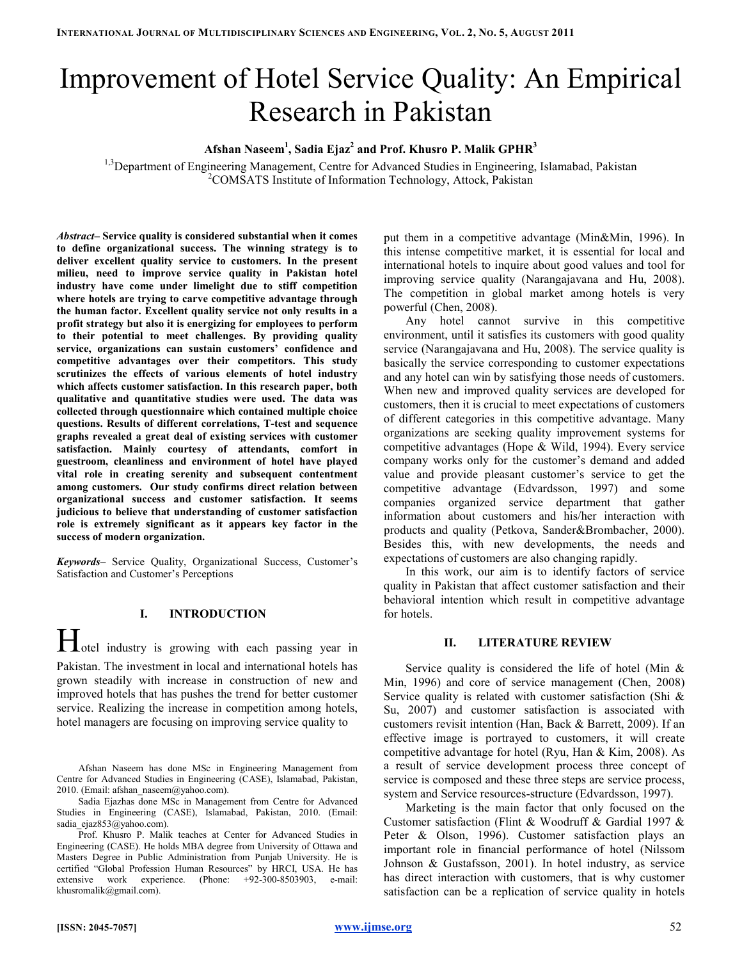# Improvement of Hotel Service Quality: An Empirical Research in Pakistan

# Afshan Naseem $^1$ , Sadia Ejaz $^2$  and Prof. Khusro P. Malik GPHR $^3$

<sup>1,3</sup>Department of Engineering Management, Centre for Advanced Studies in Engineering, Islamabad, Pakistan <sup>2</sup>COMSATS Institute of Information Technology, Attock, Pakistan

Abstract– Service quality is considered substantial when it comes to define organizational success. The winning strategy is to deliver excellent quality service to customers. In the present milieu, need to improve service quality in Pakistan hotel industry have come under limelight due to stiff competition where hotels are trying to carve competitive advantage through the human factor. Excellent quality service not only results in a profit strategy but also it is energizing for employees to perform to their potential to meet challenges. By providing quality service, organizations can sustain customers' confidence and competitive advantages over their competitors. This study scrutinizes the effects of various elements of hotel industry which affects customer satisfaction. In this research paper, both qualitative and quantitative studies were used. The data was collected through questionnaire which contained multiple choice questions. Results of different correlations, T-test and sequence graphs revealed a great deal of existing services with customer satisfaction. Mainly courtesy of attendants, comfort in guestroom, cleanliness and environment of hotel have played vital role in creating serenity and subsequent contentment among customers. Our study confirms direct relation between organizational success and customer satisfaction. It seems judicious to believe that understanding of customer satisfaction role is extremely significant as it appears key factor in the success of modern organization.

Keywords– Service Quality, Organizational Success, Customer's Satisfaction and Customer's Perceptions

## I. INTRODUCTION

Hotel industry is growing with each passing year in Pakistan. The investment in local and international hotels has grown steadily with increase in construction of new and improved hotels that has pushes the trend for better customer service. Realizing the increase in competition among hotels, hotel managers are focusing on improving service quality to

Afshan Naseem has done MSc in Engineering Management from Centre for Advanced Studies in Engineering (CASE), Islamabad, Pakistan, 2010. (Email: afshan\_naseem@yahoo.com).

Sadia Ejazhas done MSc in Management from Centre for Advanced Studies in Engineering (CASE), Islamabad, Pakistan, 2010. (Email: sadia\_ejaz853@yahoo.com).

Prof. Khusro P. Malik teaches at Center for Advanced Studies in Engineering (CASE). He holds MBA degree from University of Ottawa and Masters Degree in Public Administration from Punjab University. He is certified "Global Profession Human Resources" by HRCI, USA. He has extensive work experience. (Phone: +92-300-8503903, e-mail: khusromalik@gmail.com).

put them in a competitive advantage (Min&Min, 1996). In this intense competitive market, it is essential for local and international hotels to inquire about good values and tool for improving service quality (Narangajavana and Hu, 2008). The competition in global market among hotels is very powerful (Chen, 2008).

Any hotel cannot survive in this competitive environment, until it satisfies its customers with good quality service (Narangajavana and Hu, 2008). The service quality is basically the service corresponding to customer expectations and any hotel can win by satisfying those needs of customers. When new and improved quality services are developed for customers, then it is crucial to meet expectations of customers of different categories in this competitive advantage. Many organizations are seeking quality improvement systems for competitive advantages (Hope & Wild, 1994). Every service company works only for the customer's demand and added value and provide pleasant customer's service to get the competitive advantage (Edvardsson, 1997) and some companies organized service department that gather information about customers and his/her interaction with products and quality (Petkova, Sander&Brombacher, 2000). Besides this, with new developments, the needs and expectations of customers are also changing rapidly.

In this work, our aim is to identify factors of service quality in Pakistan that affect customer satisfaction and their behavioral intention which result in competitive advantage for hotels.

#### II. LITERATURE REVIEW

Service quality is considered the life of hotel (Min & Min, 1996) and core of service management (Chen, 2008) Service quality is related with customer satisfaction (Shi & Su, 2007) and customer satisfaction is associated with customers revisit intention (Han, Back & Barrett, 2009). If an effective image is portrayed to customers, it will create competitive advantage for hotel (Ryu, Han & Kim, 2008). As a result of service development process three concept of service is composed and these three steps are service process, system and Service resources-structure (Edvardsson, 1997).

Marketing is the main factor that only focused on the Customer satisfaction (Flint & Woodruff & Gardial 1997 & Peter & Olson, 1996). Customer satisfaction plays an important role in financial performance of hotel (Nilssom Johnson & Gustafsson, 2001). In hotel industry, as service has direct interaction with customers, that is why customer satisfaction can be a replication of service quality in hotels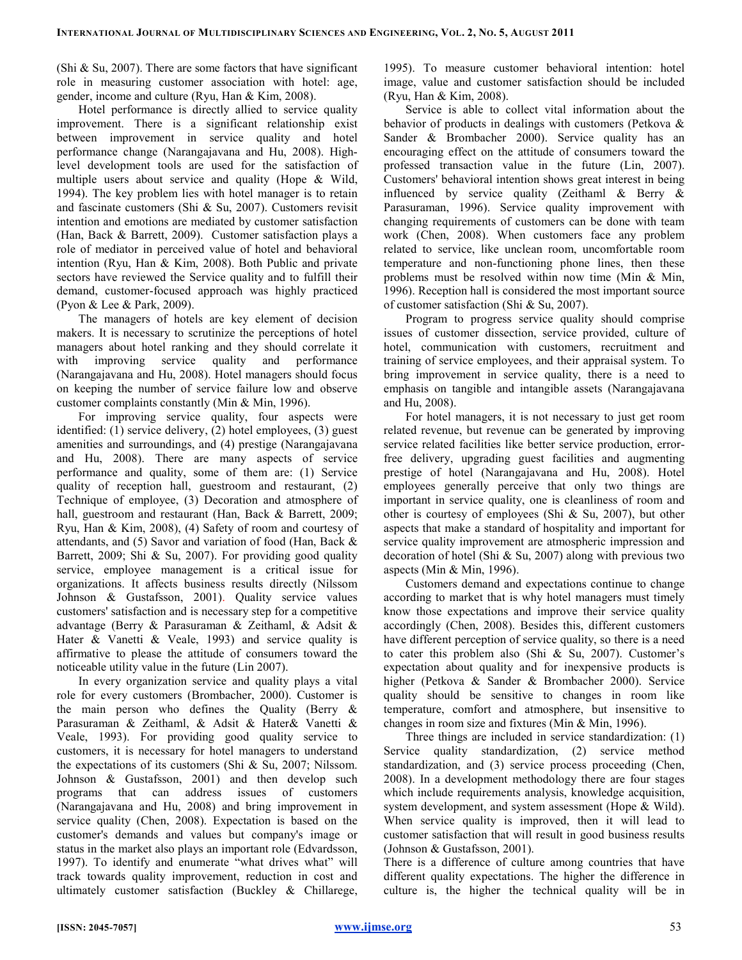(Shi  $& Su, 2007$ ). There are some factors that have significant role in measuring customer association with hotel: age, gender, income and culture (Ryu, Han & Kim, 2008).

Hotel performance is directly allied to service quality improvement. There is a significant relationship exist between improvement in service quality and hotel performance change (Narangajavana and Hu, 2008). Highlevel development tools are used for the satisfaction of multiple users about service and quality (Hope & Wild, 1994). The key problem lies with hotel manager is to retain and fascinate customers (Shi & Su, 2007). Customers revisit intention and emotions are mediated by customer satisfaction (Han, Back & Barrett, 2009). Customer satisfaction plays a role of mediator in perceived value of hotel and behavioral intention (Ryu, Han & Kim, 2008). Both Public and private sectors have reviewed the Service quality and to fulfill their demand, customer-focused approach was highly practiced (Pyon & Lee & Park, 2009).

The managers of hotels are key element of decision makers. It is necessary to scrutinize the perceptions of hotel managers about hotel ranking and they should correlate it with improving service quality and performance (Narangajavana and Hu, 2008). Hotel managers should focus on keeping the number of service failure low and observe customer complaints constantly (Min & Min, 1996).

For improving service quality, four aspects were identified: (1) service delivery, (2) hotel employees, (3) guest amenities and surroundings, and (4) prestige (Narangajavana and Hu, 2008). There are many aspects of service performance and quality, some of them are: (1) Service quality of reception hall, guestroom and restaurant, (2) Technique of employee, (3) Decoration and atmosphere of hall, guestroom and restaurant (Han, Back & Barrett, 2009; Ryu, Han & Kim, 2008), (4) Safety of room and courtesy of attendants, and (5) Savor and variation of food (Han, Back & Barrett, 2009; Shi & Su, 2007). For providing good quality service, employee management is a critical issue for organizations. It affects business results directly (Nilssom Johnson & Gustafsson, 2001). Quality service values customers' satisfaction and is necessary step for a competitive advantage (Berry & Parasuraman & Zeithaml, & Adsit & Hater & Vanetti & Veale, 1993) and service quality is affirmative to please the attitude of consumers toward the noticeable utility value in the future (Lin 2007).

In every organization service and quality plays a vital role for every customers (Brombacher, 2000). Customer is the main person who defines the Quality (Berry & Parasuraman & Zeithaml, & Adsit & Hater& Vanetti & Veale, 1993). For providing good quality service to customers, it is necessary for hotel managers to understand the expectations of its customers (Shi & Su, 2007; Nilssom. Johnson & Gustafsson, 2001) and then develop such programs that can address issues of customers (Narangajavana and Hu, 2008) and bring improvement in service quality (Chen, 2008). Expectation is based on the customer's demands and values but company's image or status in the market also plays an important role (Edvardsson, 1997). To identify and enumerate "what drives what" will track towards quality improvement, reduction in cost and ultimately customer satisfaction (Buckley & Chillarege,

1995). To measure customer behavioral intention: hotel image, value and customer satisfaction should be included (Ryu, Han & Kim, 2008).

Service is able to collect vital information about the behavior of products in dealings with customers (Petkova & Sander & Brombacher 2000). Service quality has an encouraging effect on the attitude of consumers toward the professed transaction value in the future (Lin, 2007). Customers' behavioral intention shows great interest in being influenced by service quality (Zeithaml & Berry & Parasuraman, 1996). Service quality improvement with changing requirements of customers can be done with team work (Chen, 2008). When customers face any problem related to service, like unclean room, uncomfortable room temperature and non-functioning phone lines, then these problems must be resolved within now time (Min & Min, 1996). Reception hall is considered the most important source of customer satisfaction (Shi & Su, 2007).

Program to progress service quality should comprise issues of customer dissection, service provided, culture of hotel, communication with customers, recruitment and training of service employees, and their appraisal system. To bring improvement in service quality, there is a need to emphasis on tangible and intangible assets (Narangajavana and Hu, 2008).

For hotel managers, it is not necessary to just get room related revenue, but revenue can be generated by improving service related facilities like better service production, errorfree delivery, upgrading guest facilities and augmenting prestige of hotel (Narangajavana and Hu, 2008). Hotel employees generally perceive that only two things are important in service quality, one is cleanliness of room and other is courtesy of employees (Shi & Su, 2007), but other aspects that make a standard of hospitality and important for service quality improvement are atmospheric impression and decoration of hotel (Shi & Su, 2007) along with previous two aspects (Min & Min, 1996).

Customers demand and expectations continue to change according to market that is why hotel managers must timely know those expectations and improve their service quality accordingly (Chen, 2008). Besides this, different customers have different perception of service quality, so there is a need to cater this problem also (Shi & Su, 2007). Customer's expectation about quality and for inexpensive products is higher (Petkova & Sander & Brombacher 2000). Service quality should be sensitive to changes in room like temperature, comfort and atmosphere, but insensitive to changes in room size and fixtures (Min & Min, 1996).

Three things are included in service standardization: (1) Service quality standardization, (2) service method standardization, and (3) service process proceeding (Chen, 2008). In a development methodology there are four stages which include requirements analysis, knowledge acquisition, system development, and system assessment (Hope & Wild). When service quality is improved, then it will lead to customer satisfaction that will result in good business results (Johnson & Gustafsson, 2001).

There is a difference of culture among countries that have different quality expectations. The higher the difference in culture is, the higher the technical quality will be in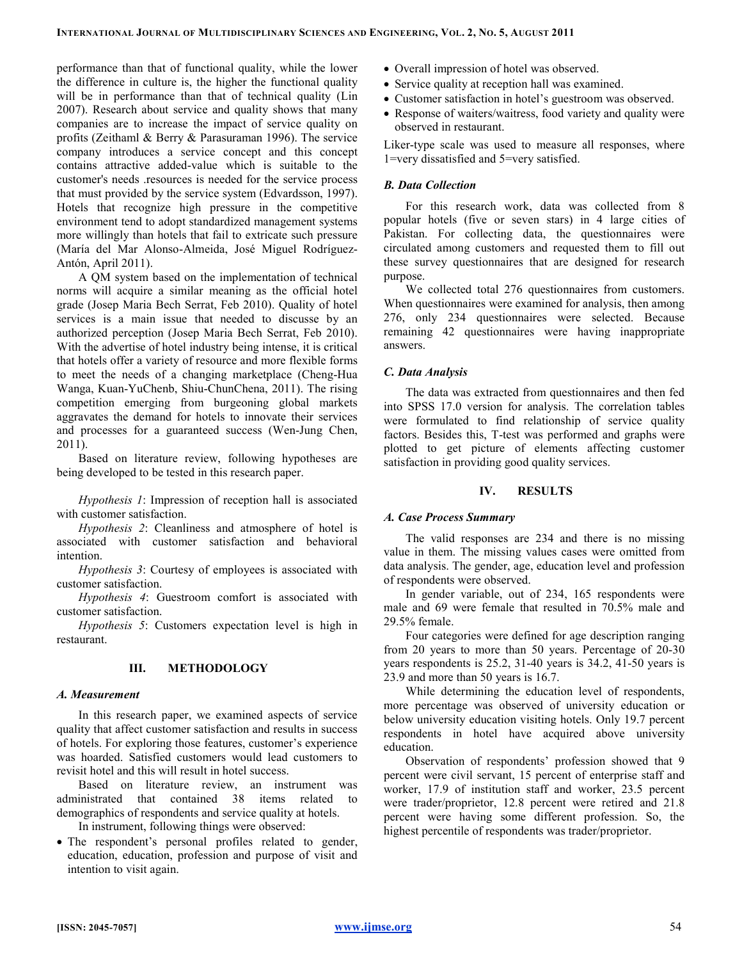performance than that of functional quality, while the lower the difference in culture is, the higher the functional quality will be in performance than that of technical quality (Lin 2007). Research about service and quality shows that many companies are to increase the impact of service quality on profits (Zeithaml & Berry & Parasuraman 1996). The service company introduces a service concept and this concept contains attractive added-value which is suitable to the customer's needs .resources is needed for the service process that must provided by the service system (Edvardsson, 1997). Hotels that recognize high pressure in the competitive environment tend to adopt standardized management systems more willingly than hotels that fail to extricate such pressure (María del Mar Alonso-Almeida, José Miguel Rodríguez-Antón, April 2011).

A QM system based on the implementation of technical norms will acquire a similar meaning as the official hotel grade (Josep Maria Bech Serrat, Feb 2010). Quality of hotel services is a main issue that needed to discusse by an authorized perception (Josep Maria Bech Serrat, Feb 2010). With the advertise of hotel industry being intense, it is critical that hotels offer a variety of resource and more flexible forms to meet the needs of a changing marketplace (Cheng-Hua Wanga, Kuan-YuChenb, Shiu-ChunChena, 2011). The rising competition emerging from burgeoning global markets aggravates the demand for hotels to innovate their services and processes for a guaranteed success (Wen-Jung Chen, 2011).

Based on literature review, following hypotheses are being developed to be tested in this research paper.

Hypothesis 1: Impression of reception hall is associated with customer satisfaction.

Hypothesis 2: Cleanliness and atmosphere of hotel is associated with customer satisfaction and behavioral intention.

Hypothesis 3: Courtesy of employees is associated with customer satisfaction.

Hypothesis 4: Guestroom comfort is associated with customer satisfaction.

Hypothesis 5: Customers expectation level is high in restaurant.

## III. METHODOLOGY

#### A. Measurement

In this research paper, we examined aspects of service quality that affect customer satisfaction and results in success of hotels. For exploring those features, customer's experience was hoarded. Satisfied customers would lead customers to revisit hotel and this will result in hotel success.

Based on literature review, an instrument was administrated that contained 38 items related to demographics of respondents and service quality at hotels.

In instrument, following things were observed:

• The respondent's personal profiles related to gender, education, education, profession and purpose of visit and intention to visit again.

- Overall impression of hotel was observed.
- Service quality at reception hall was examined.
- Customer satisfaction in hotel's guestroom was observed.
- Response of waiters/waitress, food variety and quality were observed in restaurant.

Liker-type scale was used to measure all responses, where 1=very dissatisfied and 5=very satisfied.

## B. Data Collection

For this research work, data was collected from 8 popular hotels (five or seven stars) in 4 large cities of Pakistan. For collecting data, the questionnaires were circulated among customers and requested them to fill out these survey questionnaires that are designed for research purpose.

We collected total 276 questionnaires from customers. When questionnaires were examined for analysis, then among 276, only 234 questionnaires were selected. Because remaining 42 questionnaires were having inappropriate answers.

## C. Data Analysis

The data was extracted from questionnaires and then fed into SPSS 17.0 version for analysis. The correlation tables were formulated to find relationship of service quality factors. Besides this, T-test was performed and graphs were plotted to get picture of elements affecting customer satisfaction in providing good quality services.

#### IV. RESULTS

#### A. Case Process Summary

The valid responses are 234 and there is no missing value in them. The missing values cases were omitted from data analysis. The gender, age, education level and profession of respondents were observed.

In gender variable, out of 234, 165 respondents were male and 69 were female that resulted in 70.5% male and 29.5% female.

Four categories were defined for age description ranging from 20 years to more than 50 years. Percentage of 20-30 years respondents is 25.2, 31-40 years is 34.2, 41-50 years is 23.9 and more than 50 years is 16.7.

While determining the education level of respondents, more percentage was observed of university education or below university education visiting hotels. Only 19.7 percent respondents in hotel have acquired above university education.

Observation of respondents' profession showed that 9 percent were civil servant, 15 percent of enterprise staff and worker, 17.9 of institution staff and worker, 23.5 percent were trader/proprietor, 12.8 percent were retired and 21.8 percent were having some different profession. So, the highest percentile of respondents was trader/proprietor.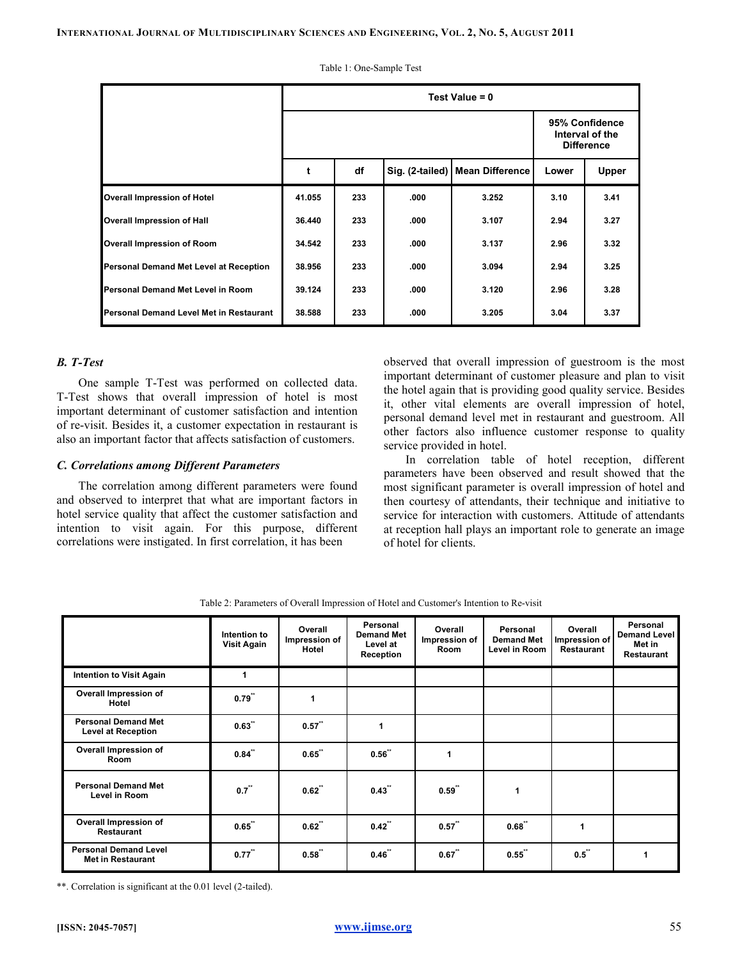|                                         | Test Value $= 0$ |     |                                                        |                                   |       |              |  |  |  |
|-----------------------------------------|------------------|-----|--------------------------------------------------------|-----------------------------------|-------|--------------|--|--|--|
|                                         |                  |     | 95% Confidence<br>Interval of the<br><b>Difference</b> |                                   |       |              |  |  |  |
|                                         | t                | df  |                                                        | Sig. (2-tailed)   Mean Difference | Lower | <b>Upper</b> |  |  |  |
| <b>Overall Impression of Hotel</b>      | 41.055           | 233 | .000                                                   | 3.252                             | 3.10  | 3.41         |  |  |  |
| <b>Overall Impression of Hall</b>       | 36.440           | 233 | .000                                                   | 3.107                             | 2.94  | 3.27         |  |  |  |
| <b>Overall Impression of Room</b>       | 34.542           | 233 | .000                                                   | 3.137                             | 2.96  | 3.32         |  |  |  |
| Personal Demand Met Level at Reception  | 38.956           | 233 | .000                                                   | 3.094                             | 2.94  | 3.25         |  |  |  |
| Personal Demand Met Level in Room       | 39.124           | 233 | .000                                                   | 3.120                             | 2.96  | 3.28         |  |  |  |
| Personal Demand Level Met in Restaurant | 38.588           | 233 | .000                                                   | 3.205                             | 3.04  | 3.37         |  |  |  |

Table 1: One-Sample Test

# B. T-Test

One sample T-Test was performed on collected data. T-Test shows that overall impression of hotel is most important determinant of customer satisfaction and intention of re-visit. Besides it, a customer expectation in restaurant is also an important factor that affects satisfaction of customers.

#### C. Correlations among Different Parameters

The correlation among different parameters were found and observed to interpret that what are important factors in hotel service quality that affect the customer satisfaction and intention to visit again. For this purpose, different correlations were instigated. In first correlation, it has been

observed that overall impression of guestroom is the most important determinant of customer pleasure and plan to visit the hotel again that is providing good quality service. Besides it, other vital elements are overall impression of hotel, personal demand level met in restaurant and guestroom. All other factors also influence customer response to quality service provided in hotel.

In correlation table of hotel reception, different parameters have been observed and result showed that the most significant parameter is overall impression of hotel and then courtesy of attendants, their technique and initiative to service for interaction with customers. Attitude of attendants at reception hall plays an important role to generate an image of hotel for clients.

|                                                          | Intention to<br><b>Visit Again</b> | Overall<br>Impression of<br>Hotel | Personal<br><b>Demand Met</b><br>Level at<br>Reception | Overall<br>Impression of<br>Room | Personal<br><b>Demand Met</b><br>Level in Room | Overall<br>Impression of<br>Restaurant | Personal<br><b>Demand Level</b><br>Met in<br>Restaurant |
|----------------------------------------------------------|------------------------------------|-----------------------------------|--------------------------------------------------------|----------------------------------|------------------------------------------------|----------------------------------------|---------------------------------------------------------|
| <b>Intention to Visit Again</b>                          | 1                                  |                                   |                                                        |                                  |                                                |                                        |                                                         |
| Overall Impression of<br>Hotel                           | 0.79                               |                                   |                                                        |                                  |                                                |                                        |                                                         |
| <b>Personal Demand Met</b><br><b>Level at Reception</b>  | 0.63                               | 0.57                              | 1                                                      |                                  |                                                |                                        |                                                         |
| Overall Impression of<br>Room                            | $0.84$ "                           | 0.65                              | 0.56                                                   | 1                                |                                                |                                        |                                                         |
| <b>Personal Demand Met</b><br>Level in Room              | $0.7$ "                            | 0.62                              | 0.43"                                                  | 0.59                             | 1                                              |                                        |                                                         |
| Overall Impression of<br><b>Restaurant</b>               | 0.65                               | 0.62                              | 0.42                                                   | 0.57                             | 0.68                                           | $\blacktriangleleft$                   |                                                         |
| <b>Personal Demand Level</b><br><b>Met in Restaurant</b> | 0.77                               | 0.58"                             | 0.46                                                   | 0.67                             | 0.55                                           | 0.5                                    | 1                                                       |

Table 2: Parameters of Overall Impression of Hotel and Customer's Intention to Re-visit

\*\*. Correlation is significant at the 0.01 level (2-tailed).